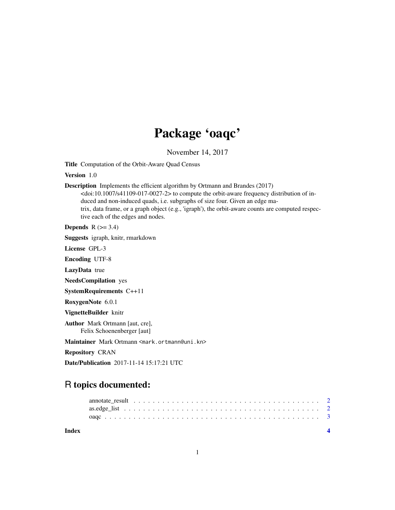## Package 'oaqc'

November 14, 2017

Title Computation of the Orbit-Aware Quad Census

Version 1.0

Description Implements the efficient algorithm by Ortmann and Brandes (2017)  $<$ doi:10.1007/s41109-017-0027-2> to compute the orbit-aware frequency distribution of induced and non-induced quads, i.e. subgraphs of size four. Given an edge matrix, data frame, or a graph object (e.g., 'igraph'), the orbit-aware counts are computed respective each of the edges and nodes.

**Depends**  $R$  ( $>= 3.4$ )

Suggests igraph, knitr, rmarkdown

License GPL-3

Encoding UTF-8

LazyData true

NeedsCompilation yes

SystemRequirements C++11

RoxygenNote 6.0.1

VignetteBuilder knitr

Author Mark Ortmann [aut, cre], Felix Schoenenberger [aut]

Maintainer Mark Ortmann <mark.ortmann@uni.kn>

Repository CRAN

Date/Publication 2017-11-14 15:17:21 UTC

### R topics documented:

| Index |  |  |  |  |  |  |  |  |  |  |  |  |  |  |  |  |  |
|-------|--|--|--|--|--|--|--|--|--|--|--|--|--|--|--|--|--|
|       |  |  |  |  |  |  |  |  |  |  |  |  |  |  |  |  |  |
|       |  |  |  |  |  |  |  |  |  |  |  |  |  |  |  |  |  |
|       |  |  |  |  |  |  |  |  |  |  |  |  |  |  |  |  |  |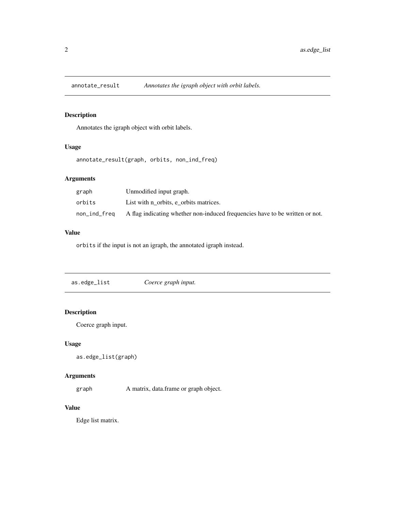<span id="page-1-0"></span>

#### Description

Annotates the igraph object with orbit labels.

#### Usage

annotate\_result(graph, orbits, non\_ind\_freq)

#### Arguments

| graph        | Unmodified input graph.                                                      |
|--------------|------------------------------------------------------------------------------|
| orbits       | List with n orbits, e orbits matrices.                                       |
| non_ind_freq | A flag indicating whether non-induced frequencies have to be written or not. |

#### Value

orbits if the input is not an igraph, the annotated igraph instead.

as.edge\_list *Coerce graph input.*

#### Description

Coerce graph input.

#### Usage

```
as.edge_list(graph)
```
#### Arguments

graph A matrix, data.frame or graph object.

#### Value

Edge list matrix.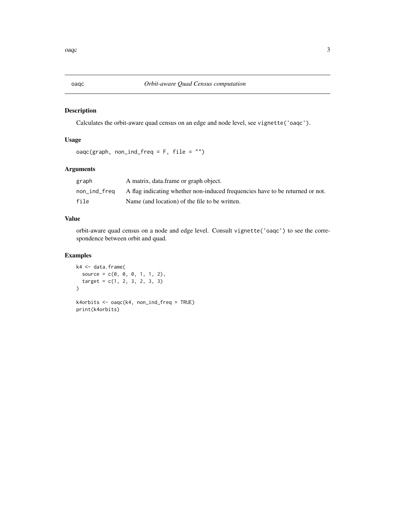#### Description

Calculates the orbit-aware quad census on an edge and node level, see vignette('oaqc').

#### Usage

```
oaqc(graph, non_ind_freq = F, file = "")
```
#### Arguments

| graph        | A matrix, data frame or graph object.                                         |
|--------------|-------------------------------------------------------------------------------|
| non_ind_freq | A flag indicating whether non-induced frequencies have to be returned or not. |
| file         | Name (and location) of the file to be written.                                |

#### Value

orbit-aware quad census on a node and edge level. Consult vignette('oaqc') to see the correspondence between orbit and quad.

#### Examples

```
k4 <- data.frame(
 source = c(0, 0, 0, 1, 1, 2),
  target = c(1, 2, 3, 2, 3, 3))
k4orbits <- oaqc(k4, non_ind_freq = TRUE)
print(k4orbits)
```
<span id="page-2-0"></span>